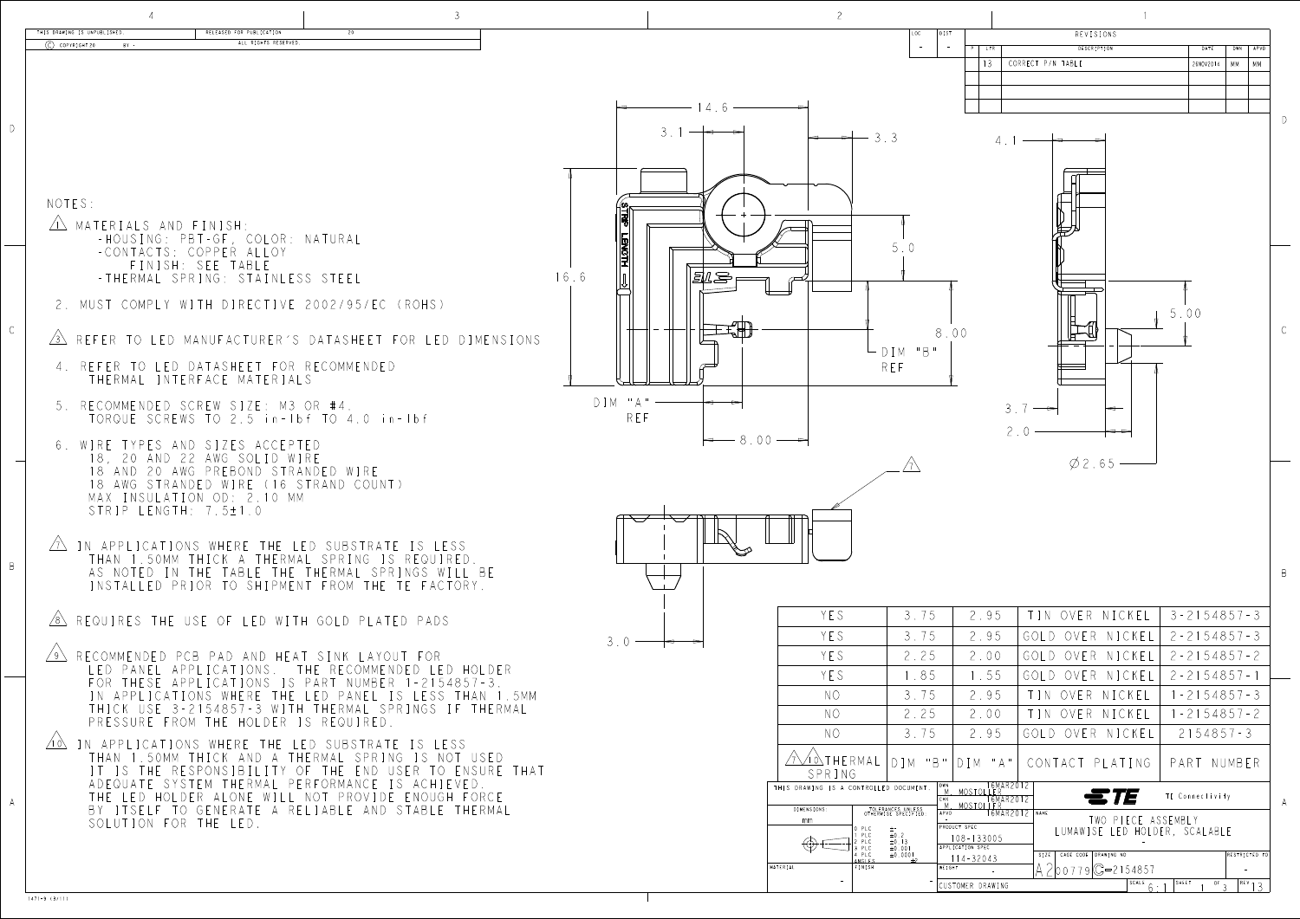| RELEASED FOR PUBLICATION<br>20<br>ALL RIGHTS RESERVED.                                        |           |                          |                                                       | LOC                                                                                         |                                                                         | REVISIONS<br>DESCRIPTION             | DATE                                                | DWN                     |  |
|-----------------------------------------------------------------------------------------------|-----------|--------------------------|-------------------------------------------------------|---------------------------------------------------------------------------------------------|-------------------------------------------------------------------------|--------------------------------------|-----------------------------------------------------|-------------------------|--|
|                                                                                               |           |                          |                                                       |                                                                                             |                                                                         | CORRECT P/N TABLE                    | 26NOV2014   MM                                      | MM.                     |  |
|                                                                                               |           |                          |                                                       |                                                                                             |                                                                         |                                      |                                                     |                         |  |
|                                                                                               |           | 14.6                     |                                                       |                                                                                             |                                                                         |                                      |                                                     |                         |  |
|                                                                                               |           |                          |                                                       | $-3.3$                                                                                      |                                                                         |                                      |                                                     |                         |  |
|                                                                                               |           |                          |                                                       |                                                                                             |                                                                         |                                      |                                                     |                         |  |
|                                                                                               |           |                          |                                                       |                                                                                             |                                                                         |                                      |                                                     |                         |  |
| ; AND FINISH:                                                                                 |           |                          |                                                       |                                                                                             |                                                                         |                                      |                                                     |                         |  |
| NG: PBT-GF, COLOR: NATURAL<br>CTS: COPPER ALLOY                                               |           |                          |                                                       |                                                                                             |                                                                         |                                      |                                                     |                         |  |
| NISH: SEE TABLE<br>16.6<br>AL SPRING: STAINLESS STEEL                                         |           | <i>Ell S</i>             |                                                       |                                                                                             |                                                                         |                                      |                                                     |                         |  |
| PLY WITH DIRECTIVE 2002/95/EC (ROHS)                                                          |           |                          |                                                       |                                                                                             |                                                                         |                                      |                                                     |                         |  |
|                                                                                               |           |                          |                                                       |                                                                                             |                                                                         |                                      | 5.00                                                |                         |  |
| LED MANUFACTURER'S DATASHEET FOR LED DIMENSIONS                                               |           |                          |                                                       | $-$ DIM "B"                                                                                 | 8.00                                                                    |                                      |                                                     |                         |  |
| LED DATASHEET FOR RECOMMENDED<br>INTERFACE MATERIALS                                          |           |                          |                                                       | REF                                                                                         |                                                                         |                                      |                                                     |                         |  |
| DED SCREW SIZE: M3 OR #4.                                                                     | $DIM$ "A" |                          |                                                       |                                                                                             |                                                                         |                                      |                                                     |                         |  |
| SCREWS TO 2.5 in-Ibf TO 4.0 in-Ibf                                                            | REF       |                          |                                                       |                                                                                             |                                                                         | $3.7 -$<br>$\blacktriangleright$     |                                                     |                         |  |
| ES AND SIZES ACCEPTED                                                                         |           | $\leftarrow 8.00 -$      |                                                       |                                                                                             | $2.0 -$                                                                 |                                      |                                                     |                         |  |
| AND 22 AWG SOLID WIRE<br>20 AWG PREBOND STRANDED WIRE                                         |           |                          |                                                       |                                                                                             |                                                                         | $\emptyset$ 2.65 —                   |                                                     |                         |  |
| STRANDED WIRE (16 STRAND COUNT)<br>ULATION OD: 2.10 MM                                        |           |                          |                                                       |                                                                                             |                                                                         |                                      |                                                     |                         |  |
| ENGTH: 7.5±1.0                                                                                |           | $\overline{\phantom{a}}$ |                                                       |                                                                                             |                                                                         |                                      |                                                     |                         |  |
| ATIONS WHERE THE LED SUBSTRATE IS LESS                                                        |           |                          |                                                       |                                                                                             |                                                                         |                                      |                                                     |                         |  |
| 50MM THICK A THERMAL SPRING IS REQUIRED.<br>D IN THE TABLE THE THERMAL SPRINGS WILL BE        |           |                          |                                                       |                                                                                             |                                                                         |                                      |                                                     |                         |  |
| ED PRIOR TO SHIPMENT FROM THE TE FACTORY.                                                     |           |                          |                                                       |                                                                                             |                                                                         |                                      |                                                     |                         |  |
| THE USE OF LED WITH GOLD PLATED PADS                                                          |           |                          | YES                                                   | 3.75                                                                                        | 2.95                                                                    | TIN OVER NICKEL                      | $3 - 2154857 - 3$                                   |                         |  |
| DED PCB PAD AND HEAT SINK LAYOUT FOR                                                          |           | $3.0 \rightarrow$        | YES<br>YES                                            | 3.75<br>2.25                                                                                | 2.95<br>2.00                                                            | GOLD OVER NICKEL<br>GOLD OVER NICKEL | $2 - 2154857 - 3$<br>$2 - 2154857 - 2$              |                         |  |
| EL APPLICATIONS. THE RECOMMENDED LED HOLDER<br>SE APPLICATIONS IS PART NUMBER 1-2154857-3     |           |                          | YES                                                   | 1.85                                                                                        | 1.55                                                                    | GOLD OVER NICKEL                     | $2 - 2154857 - 1$                                   |                         |  |
| ICATIONS WHERE THE LED PANEL IS LESS THAN 1.5MM                                               |           |                          | NO.                                                   | 3.75                                                                                        | 2.95                                                                    | TIN OVER NICKEL                      | $1 - 2154857 - 3$                                   |                         |  |
| SE 3-2154857-3 WITH THERMAL SPRINGS IF THERMAL<br>E FROM THE HOLDER IS REQUIRED.              |           |                          | NO.                                                   | 2.25                                                                                        | 2.00                                                                    | TIN OVER NICKEL                      | $1 - 2154857 - 2$                                   |                         |  |
| ATIONS WHERE THE LED SUBSTRATE IS LESS:<br>50MM THICK AND A THERMAL SPRING IS NOT USED.       |           |                          | NO                                                    | 3.75                                                                                        | 2.95                                                                    | GOLD OVER NICKEL                     | $2154857 - 3$                                       |                         |  |
| HE RESPONSIBILITY OF THE END USER TO ENSURE THAT<br>E SYSTEM THERMAL PERFORMANCE IS ACHIEVED. |           |                          | $\sqrt{7\sqrt{10}}$ THERMAL<br>SPRING                 |                                                                                             | DIM "B"   DIM "A"                                                       | CONTACT PLATING                      | PART NUMBER                                         |                         |  |
| HOLDER ALONE WILL NOT PROVIDE ENOUGH FORCE                                                    |           |                          | THIS DRAWING IS A CONTROLLED DOCUMENT.<br>DIMENSIONS: |                                                                                             | N.<br>M. MOSTOLLER<br>CHK 16MAR2012<br>APVD 16MAR2012<br>APVD 16MAR2012 | $\epsilon$ $T$                       | TE Connectivity                                     |                         |  |
| LF TO GENERATE A RELIABLE AND STABLE THERMAL<br>N FOR THE LED.                                |           |                          | mm                                                    | TOLERANCES UNLESS<br>OTHERWISE SPECIFIED:<br>$P LC \t\t\pm \t\cdot$<br>$\pm 0$ . $2$<br>PLC | PRODUCT SPEC                                                            |                                      | TWO PIECE ASSEMBLY<br>LUMAWISE LED HOLDER, SCALABLE |                         |  |
|                                                                                               |           |                          | $\bigoplus$ $\bigoplus$ $\cdot$                       | $\pm 0.13$<br>PLC.<br>$\pm 0$ . 001<br>3 PLC<br>$\pm 0.0001$<br>$\pm 2$<br>4 PLC            | $108 - 133005$<br>APPLICATION SPEC<br>$114 - 32043$                     | SIZE   CAGE CODE   DRAWING NO        |                                                     | RESTRICTED TO           |  |
|                                                                                               |           |                          | MATERIAL                                              | ANGLES<br><b>FINISH</b>                                                                     | WEIGHT<br>CUSTOMER DRAWING                                              | $2$  00779 C=2154857                 | SHEET<br>SCALE $6 \cdot 1$                          | <sup>OF</sup> 3 REV 1 3 |  |
|                                                                                               |           |                          |                                                       |                                                                                             |                                                                         |                                      |                                                     |                         |  |

| THIS DRAWING IS UNPUBLISHED.<br>RELEASED FOR PUBLICATION<br>ALL RIGHTS RESERVED<br>$\circ$ COPYRIGHT 20<br>$BA =$ | REVISIONS<br>DESCRIPTION<br>DWN   APVD<br>DATE                                                                                                                             |
|-------------------------------------------------------------------------------------------------------------------|----------------------------------------------------------------------------------------------------------------------------------------------------------------------------|
|                                                                                                                   | CORRECT P/N TABLE<br>26NOV2014   MM   MM                                                                                                                                   |
|                                                                                                                   |                                                                                                                                                                            |
|                                                                                                                   | $\rightarrow$ 3.3                                                                                                                                                          |
|                                                                                                                   |                                                                                                                                                                            |
|                                                                                                                   |                                                                                                                                                                            |
| NOTES:                                                                                                            |                                                                                                                                                                            |
| MATERIALS AND FINISH:<br>-HOUSING: PBT-GF, COLOR: NATURAL                                                         |                                                                                                                                                                            |
| -CONTACTS: COPPER ALLOY<br>FINISH: SEE TABLE                                                                      | <b>LENGTH</b>                                                                                                                                                              |
| -THERMAL SPRING: STAINLESS STEEL                                                                                  | 16.6<br>乳吗                                                                                                                                                                 |
| 2. MUST COMPLY WITH DIRECTIVE 2002/95/EC (ROHS)                                                                   | 5.00                                                                                                                                                                       |
| $\sqrt{3}$ REFER TO LED MANUFACTURER'S DATASHEET FOR LED DIMENSIONS                                               | 8.00                                                                                                                                                                       |
| 4. REFER TO LED DATASHEET FOR RECOMMENDED                                                                         | DIM "B"<br>REF                                                                                                                                                             |
| THERMAL INTERFACE MATERIALS                                                                                       |                                                                                                                                                                            |
| 5. RECOMMENDED SCREW SIZE: M3 OR #4.<br>TORQUE SCREWS TO 2.5 in-1bf TO 4.0 in-1bf                                 | $DIM$ "A" $-$<br>$3.7 -$<br>REF                                                                                                                                            |
|                                                                                                                   | $\Rightarrow$<br>$\leftarrow 8.00 -$                                                                                                                                       |
| 6. WIRE TYPES AND SIZES ACCEPTED<br>18, 20 AND 22 AWG SOLID WIRE                                                  | $\emptyset$ 2.65 –                                                                                                                                                         |
| 18 AND 20 AWG PREBOND STRANDED WIRE<br>18 AWG STRANDED WIRE (16 STRAND COUNT)                                     |                                                                                                                                                                            |
| MAX INSULATION OD: 2.10 MM<br>STRIP LENGTH: 7.5±1.0                                                               |                                                                                                                                                                            |
| $\sqrt{1}$ in applications where the LED substrate is LESS.                                                       |                                                                                                                                                                            |
| THAN 1.50MM THICK A THERMAL SPRING IS REQUIRED.                                                                   |                                                                                                                                                                            |
| AS NOTED IN THE TABLE THE THERMAL SPRINGS WILL BE<br>INSTALLED PRIOR TO SHIPMENT FROM THE TE FACTORY.             |                                                                                                                                                                            |
| $\sqrt{8}$ requires the use of led with gold plated pads                                                          | TIN OVER NICKEL<br>$3 - 2154857 - 3$<br>2.95<br>YES<br>3.75                                                                                                                |
|                                                                                                                   | YES<br>3.75<br>2.95<br>GOLD OVER NICKEL   2-2154857-3<br>$3.0 \longrightarrow$                                                                                             |
| RECOMMENDED PCB PAD AND HEAT SINK LAYOUT FOR<br>LED PANEL APPLICATIONS. THE RECOMMENDED LED HOLDER                | YES<br>2.25<br>2.00<br>GOLD OVER NICKEL<br>$2 - 2154857 - 2$                                                                                                               |
| FOR THESE APPLICATIONS IS PART NUMBER 1-2154857-3.<br>IN APPLICATIONS WHERE THE LED PANEL IS LESS THAN 1.5MM      | YES<br>1.85<br>GOLD OVER NICKEL   2-2154857-1<br>1.55<br>3.75<br>$1 - 2154857 - 3$<br>$N$ $\circ$<br>2.95<br>TIN OVER NICKEL                                               |
| THICK USE 3-2154857-3 WITH THERMAL SPRINGS IF THERMAL<br>PRESSURE FROM THE HOLDER IS REQUIRED.                    | TIN OVER NICKEL   1-2154857-2<br>2.25<br>2.00<br>NO.                                                                                                                       |
| $\angle 10\sqrt{}$<br>IN APPLICATIONS WHERE THE LED SUBSTRATE IS LESS                                             | 3.75<br>$2154857 - 3$<br>NO.<br>GOLD OVER NICKEL<br>2.95                                                                                                                   |
| THAN 1.50MM THICK AND A THERMAL SPRING IS NOT USED<br>IT IS THE RESPONSIBILITY OF THE END USER TO ENSURE THAT     | $\sqrt{7}\sqrt{10}$ The RMAL<br> DIM "B" DIM "A"  CONTACT PLATING   PART NUMBER                                                                                            |
| ADEQUATE SYSTEM THERMAL PERFORMANCE IS ACHIEVED.<br>THE LED HOLDER ALONE WILL NOT PROVIDE ENOUGH FORCE            | SPRING<br>16MAR2012<br>THIS DRAWING IS A CONTROLLED DOCUMENT.<br>ETE<br>TE Connectivity                                                                                    |
| BY ITSELF TO GENERATE A RELIABLE AND STABLE THERMAL<br>SOLUTION FOR THE LED.                                      | 1 M MOSTOLLER<br>16MAR2012 NAME<br>DIMENSIONS:<br>TOLERANCES UNLESS<br>OTHERWISE SPECIFIED:<br>TWO PIECE ASSEMBLY<br>mm                                                    |
|                                                                                                                   | PRODUCT SPEC<br>LUMAWISE LED HOLDER, SCALABLE<br>$\pm 0.2$<br>$108 - 133005$<br>$\pm 0.13$<br>$\pm 0.001$<br>$\textcircled{4} \longleftarrow$<br>APPLICATION SPEC<br>3 PLC |
|                                                                                                                   | $\pm 0$ , 0001<br>4 PLC<br>RESTRICTED TO<br>SIZE   CAGE CODE   DRAWING NO<br>$114 - 32043$<br>NGLES<br>$700779C = 2154857$<br>MATERIAL<br>INISH<br>NEIGHT                  |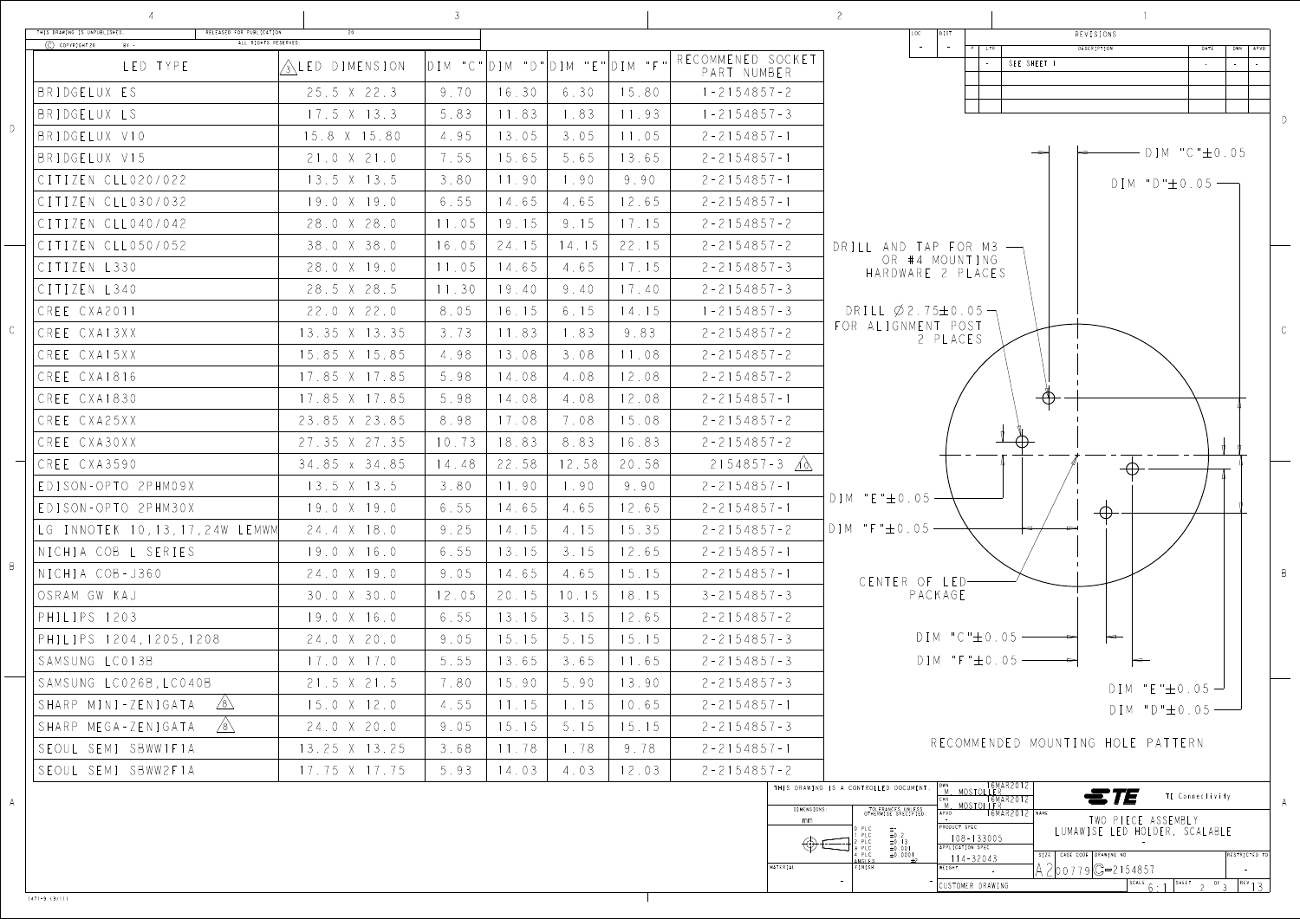

1471-9 (3/11)

CUSTOMER DRAWING

- -

 $SCALE 6:1$   $SHEE1$  2 <sup>of</sup> 3  $REV13$ 

| THIS DRAWING IS UNPUBLISHED.<br>RELEASED FOR PUBLICATION<br>ALL RIGHTS RESERVED.<br>$\circled{C}$ COPYRIGHT 20 BY - | 20                   |        |       |                                         |                |                                  | REVISIONS<br>DIST<br>LOC                                               |
|---------------------------------------------------------------------------------------------------------------------|----------------------|--------|-------|-----------------------------------------|----------------|----------------------------------|------------------------------------------------------------------------|
| LED TYPE                                                                                                            | ALED DIMENSION       |        |       | $DIM$ "C" $DIM$ "D" $DIM$ "E" $DIM$ "F" |                | RECOMMENED SOCKET<br>PART NUMBER | DESCRIPTION<br>DWN APVD<br>DATE<br>$\overline{P}$   LTR<br>SEE SHEET 1 |
| BRIDGELUX ES                                                                                                        | 25.5 X 22.3          | 9.70   | 16.30 | 6.30                                    | 15.80          | $1 - 2154857 - 2$                |                                                                        |
| BRIDGELUX LS                                                                                                        | $17.5 \times 13.3$   | 5.83   | 11.83 | 1.83                                    | 11.93          | $1 - 2154857 - 3$                |                                                                        |
| BRIDGELUX V10                                                                                                       | 15.8 X 15.80         | 4.95   | 13.05 | 3.05                                    | 11.05          | $2 - 2154857 - 1$                |                                                                        |
| BRIDGELUX V15                                                                                                       | 21.0 X 21.0          | 7.55   | 15.65 | 5.65                                    | 13.65          | $2 - 2154857 - 1$                | $DIM$ "C" $\pm$ 0.05<br>$\rightarrow$                                  |
| CITIZEN CLL020/022                                                                                                  | 13.5 X 13.5          | 3.80   | 11.90 | 1.90                                    | 9.90           | $2 - 2154857 - 1$                | $DIM "D"±0.05$ —                                                       |
| CITIZEN CLL030/032                                                                                                  | 19.0 X 19.0          | 6.55   | 14.65 | 4.65                                    | 12.65          | $2 - 2154857 - 1$                |                                                                        |
| CITIZEN CLL040/042                                                                                                  | 28.0 X 28.0          | 11.05  | 19.15 | 9.15                                    | 17.15          | $2 - 2154857 - 2$                |                                                                        |
| CITIZEN CLL050/052                                                                                                  | 38.0 X 38.0          | 16.05  | 24.15 | 14.15                                   | 22.15          | $2 - 2154857 - 2$                | DRILL AND TAP FOR M3 $\rightarrow$                                     |
| CITIZEN L330                                                                                                        | 28.0 X 19.0          | 11.05  | 14.65 | 4.65                                    | 17.15          | $2 - 2154857 - 3$                | OR #4 MOUNTING<br>HARDWARE 2 PLACES                                    |
| CITIZEN L340                                                                                                        | 28.5 X 28.5          | 11.30  | 19.40 | 9.40                                    | 17.40          | $2 - 2154857 - 3$                |                                                                        |
| CREE CXA2011                                                                                                        | 22.0 X 22.0          | 8.05   | 16.15 | 6.15                                    | 14.15          | $1 - 2154857 - 3$                | DRILL $\emptyset$ 2.75±0.05 $\neg$                                     |
| CREE CXA13XX                                                                                                        | 13.35 X 13.35        | 3.73   | 11.83 | 1.83                                    | 9.83           | $2 - 2154857 - 2$                | FOR ALIGNMENT POST<br>2 PLACES                                         |
| CREE CXA15XX                                                                                                        | 15.85 X 15.85        | 4.98   | 13.08 |                                         | $3.08$   11.08 | $2 - 2154857 - 2$                |                                                                        |
| CREE CXA1816                                                                                                        | 17.85 X 17.85        | 5.98   | 14.08 | 4.08                                    | 12.08          | $2 - 2154857 - 2$                |                                                                        |
| CREE CXA1830                                                                                                        | 17.85 X 17.85        | 5.98   | 14.08 | 4.08                                    | 12.08          | $2 - 2154857 - 1$                | $-\left(\frac{1}{2}\right)$                                            |
| CREE CXA25XX                                                                                                        | 23.85 X 23.85        | 8.98   | 17.08 | 7.08                                    | 15.08          | $2 - 2154857 - 2$                |                                                                        |
| CREE CXA30XX                                                                                                        | 27.35 X 27.35        | 10.73  | 18.83 | 8.83                                    | 16.83          | $2 - 2154857 - 2$                |                                                                        |
| CREE CXA3590                                                                                                        | 34.85 x 34.85        | 14.48  | 22.58 | 12.58                                   | 20.58          | $2154857 - 3$ 1                  | $\leftrightarrow$                                                      |
| EDISON-OPTO 2PHM09X                                                                                                 | 13.5 X 13.5          | 3.80   | 11.90 | 1.90                                    | 9.90           | $2 - 2154857 - 1$                |                                                                        |
| EDISON-OPTO 2PHM30X                                                                                                 | 19.0 X 19.0          | 6.55   | 14.65 | 4.65                                    | 12.65          | $2 - 2154857 - 1$                | $DIM$ "E" $\pm$ 0.05 —<br>$\bigoplus$                                  |
| LG INNOTEK 10, 13, 17, 24W LEMWM                                                                                    | 24.4 X 18.0          | 9.25   | 14.15 | 4.15                                    | 15.35          | $2 - 2154857 - 2$                | $ $ DIM "F" $\pm$ 0.05 $-$                                             |
| NICHIA COB L SERIES                                                                                                 | 19.0 X 16.0          | 6.55   | 13.15 | 3.15                                    | 12.65          | $2 - 2154857 - 1$                |                                                                        |
| NICHIA COB-J360                                                                                                     | 24.0 X 19.0          | 9.05   | 14.65 | 4.65                                    | 15.15          | $2 - 2154857 - 1$                | CENTER OF LED-                                                         |
| osram gw kaj                                                                                                        | 30.0 X 30.0          | 12.05  | 20.15 | 10.15                                   | 18.15          | $3 - 2154857 - 3$                | PACKAGE                                                                |
| PHILIPS 1203                                                                                                        | 19.0 X 16.0          | 6.55   | 13.15 | 3.15                                    | 12.65          | $2 - 2154857 - 2$                |                                                                        |
| PHILIPS 1204,1205,1208                                                                                              | 24.0 X 20.0          | 9.05   | 15.15 | 5.15                                    | 15.15          | $2 - 2154857 - 3$                | $DIM$ "C" $\pm$ 0.05 —                                                 |
| SAMSUNG LC013B                                                                                                      | $17.0 \times 17.0$   | 5.55   | 13.65 | 3.65                                    | 11.65          | $2 - 2154857 - 3$                | $DIM$ "F" $\pm 0.05$ --------                                          |
| SAMSUNG LC026B, LC040B                                                                                              | 21.5 X 21.5          | 7.80   | 15.90 | 5.90                                    | 13.90          | $2 - 2154857 - 3$                | $DIM$ "E" $\pm 0.05$ $-$                                               |
| SHARP MINI-ZENIGATA $\sqrt{8}$                                                                                      | $15.0 \times 12.0$   | $4.55$ |       | 11.15   1.15   10.65                    |                | $2 - 2154857 - 1$                | $DIM "D"±0.05$ —                                                       |
| SHARP MEGA-ZENIGATA $\sqrt{8}$                                                                                      | 24.0 X 20.0          | 9.05   | 15.15 | 5.15                                    | 15.15          | $2 - 2154857 - 3$                |                                                                        |
| SEOUL SEMI SBWW1F1A                                                                                                 | $13.25 \times 13.25$ | 3.68   | 11.78 | 1.78                                    | 9.78           | $2 - 2154857 - 1$                | RECOMMENDED MOUNTING HOLE PATTERN                                      |
| SEOUL SEMI SBWW2F1A                                                                                                 | 17.75 X 17.75        | 5.93   | 14.03 | 4.03                                    | 12.03          | $2 - 2154857 - 2$                |                                                                        |